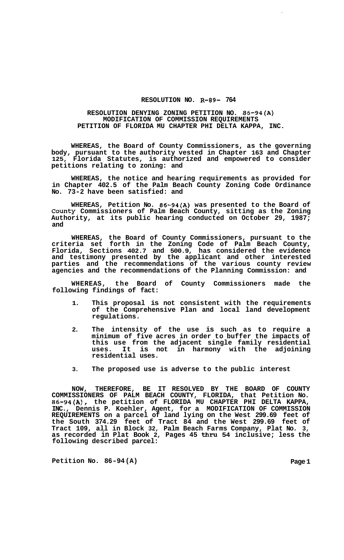## **RESOLUTION NO. R-89- 764**

## **RESOLUTION DENYING ZONING PETITION NO. 86-94(A) MODIFICATION OF COMMISSION REQUIREMENTS PETITION OF FLORIDA MU CHAPTER PHI DELTA KAPPA, INC.**

**WHEREAS, the Board of County Commissioners, as the governing body, pursuant to the authority vested in Chapter 163 and Chapter 125, Florida Statutes, is authorized and empowered to consider petitions relating to zoning: and** 

**WHEREAS, the notice and hearing requirements as provided for in Chapter 402.5 of the Palm Beach County Zoning Code Ordinance No. 73-2 have been satisfied: and** 

**WHEREAS, Petition No. 86-94(A) was presented to the Board of County Commissioners of Palm Beach County, sitting as the Zoning Authority, at its public hearing conducted on October 29, 1987; and** 

**WHEREAS, the Board of County Commissioners, pursuant to the criteria set forth in the Zoning Code of Palm Beach County, Florida, Sections 402.7 and 500.9, has considered the evidence and testimony presented by the applicant and other interested parties and the recommendations of the various county review agencies and the recommendations of the Planning Commission: and** 

**WHEREAS, the Board of County Commissioners made the following findings of fact:** 

- **1. This proposal is not consistent with the requirements of the Comprehensive Plan and local land development regulations.**
- **2. The intensity of the use is such as to require a minimum of five acres in order to buffer the impacts of this use from the adjacent single family residential uses. It is not in harmony with the adjoining residential uses.**
- **3. The proposed use is adverse to the public interest**

**NOW, THEREFORE, BE IT RESOLVED BY THE BOARD OF COUNTY COMMISSIONERS OF PALM BEACH COUNTY, FLORIDA, that Petition No. 86-94(A), the petition of FLORIDA MU CHAPTER PHI DELTA KAPPA, INC., Dennis P. Koehler, Agent, for a MODIFICATION OF COMMISSION REQUIREMENTS on a parcel of land lying on the West 299.69 feet of the South 374.29 feet of Tract 84 and the West 299.69 feet of Tract 109, all in Block 32, Palm Beach Farms Company, Plat No. 3, as recorded in Plat Book 2, Pages 45 thru 54 inclusive; less the following described parcel:** 

Petition No. 86-94 (A) Page 1